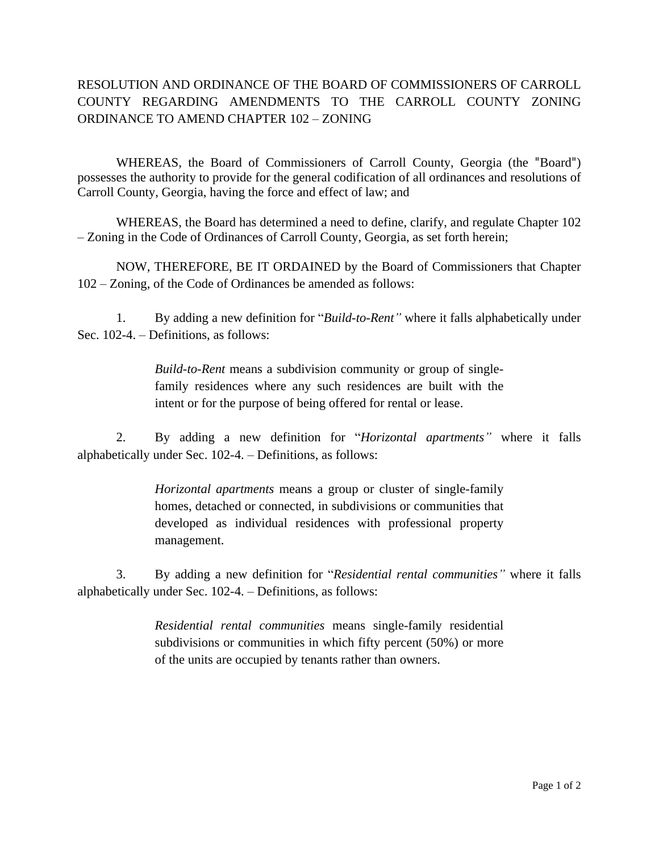## RESOLUTION AND ORDINANCE OF THE BOARD OF COMMISSIONERS OF CARROLL COUNTY REGARDING AMENDMENTS TO THE CARROLL COUNTY ZONING ORDINANCE TO AMEND CHAPTER 102 – ZONING

WHEREAS, the Board of Commissioners of Carroll County, Georgia (the "Board") possesses the authority to provide for the general codification of all ordinances and resolutions of Carroll County, Georgia, having the force and effect of law; and

WHEREAS, the Board has determined a need to define, clarify, and regulate Chapter 102 – Zoning in the Code of Ordinances of Carroll County, Georgia, as set forth herein;

NOW, THEREFORE, BE IT ORDAINED by the Board of Commissioners that Chapter 102 – Zoning, of the Code of Ordinances be amended as follows:

1. By adding a new definition for "*Build-to-Rent"* where it falls alphabetically under Sec. 102-4. – Definitions, as follows:

> *Build-to-Rent* means a subdivision community or group of singlefamily residences where any such residences are built with the intent or for the purpose of being offered for rental or lease.

2. By adding a new definition for "*Horizontal apartments"* where it falls alphabetically under Sec. 102-4. – Definitions, as follows:

> *Horizontal apartments* means a group or cluster of single-family homes, detached or connected, in subdivisions or communities that developed as individual residences with professional property management.

3. By adding a new definition for "*Residential rental communities"* where it falls alphabetically under Sec. 102-4. – Definitions, as follows:

> *Residential rental communities* means single-family residential subdivisions or communities in which fifty percent (50%) or more of the units are occupied by tenants rather than owners.